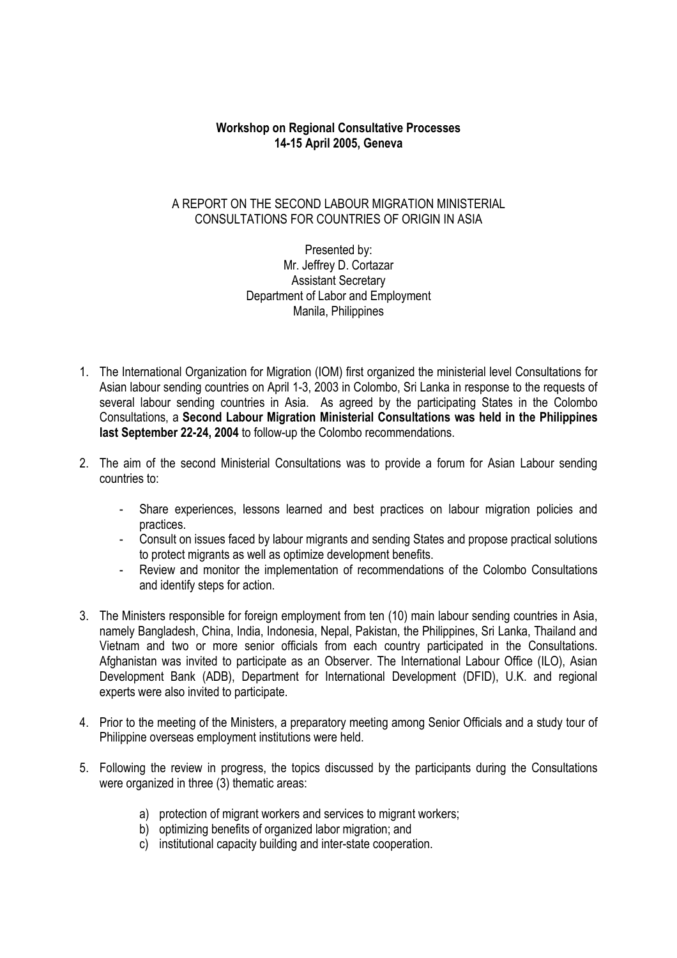## **Workshop on Regional Consultative Processes 14-15 April 2005, Geneva**

# A REPORT ON THE SECOND LABOUR MIGRATION MINISTERIAL CONSULTATIONS FOR COUNTRIES OF ORIGIN IN ASIA

Presented by: Mr. Jeffrey D. Cortazar Assistant Secretary Department of Labor and Employment Manila, Philippines

- 1. The International Organization for Migration (IOM) first organized the ministerial level Consultations for Asian labour sending countries on April 1-3, 2003 in Colombo, Sri Lanka in response to the requests of several labour sending countries in Asia. As agreed by the participating States in the Colombo Consultations, a **Second Labour Migration Ministerial Consultations was held in the Philippines last September 22-24, 2004** to follow-up the Colombo recommendations.
- 2. The aim of the second Ministerial Consultations was to provide a forum for Asian Labour sending countries to:
	- Share experiences, lessons learned and best practices on labour migration policies and practices.
	- Consult on issues faced by labour migrants and sending States and propose practical solutions to protect migrants as well as optimize development benefits.
	- Review and monitor the implementation of recommendations of the Colombo Consultations and identify steps for action.
- 3. The Ministers responsible for foreign employment from ten (10) main labour sending countries in Asia, namely Bangladesh, China, India, Indonesia, Nepal, Pakistan, the Philippines, Sri Lanka, Thailand and Vietnam and two or more senior officials from each country participated in the Consultations. Afghanistan was invited to participate as an Observer. The International Labour Office (ILO), Asian Development Bank (ADB), Department for International Development (DFID), U.K. and regional experts were also invited to participate.
- 4. Prior to the meeting of the Ministers, a preparatory meeting among Senior Officials and a study tour of Philippine overseas employment institutions were held.
- 5. Following the review in progress, the topics discussed by the participants during the Consultations were organized in three (3) thematic areas:
	- a) protection of migrant workers and services to migrant workers;
	- b) optimizing benefits of organized labor migration; and
	- c) institutional capacity building and inter-state cooperation.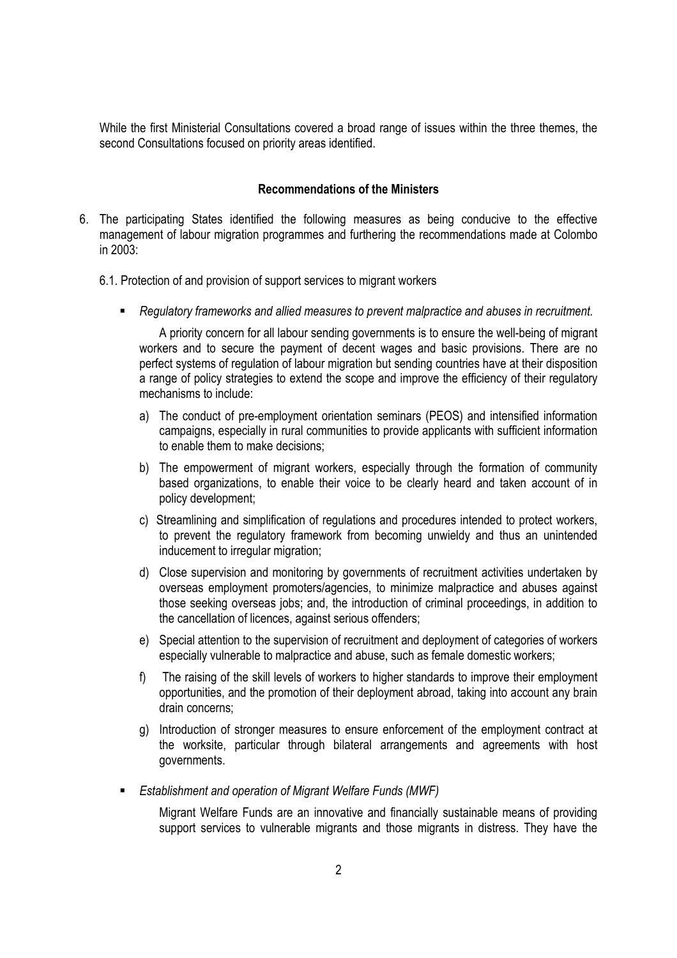While the first Ministerial Consultations covered a broad range of issues within the three themes, the second Consultations focused on priority areas identified.

### **Recommendations of the Ministers**

- 6. The participating States identified the following measures as being conducive to the effective management of labour migration programmes and furthering the recommendations made at Colombo in 2003:
	- 6.1. Protection of and provision of support services to migrant workers
		- *Regulatory frameworks and allied measures to prevent malpractice and abuses in recruitment.*

A priority concern for all labour sending governments is to ensure the well-being of migrant workers and to secure the payment of decent wages and basic provisions. There are no perfect systems of regulation of labour migration but sending countries have at their disposition a range of policy strategies to extend the scope and improve the efficiency of their regulatory mechanisms to include:

- a) The conduct of pre-employment orientation seminars (PEOS) and intensified information campaigns, especially in rural communities to provide applicants with sufficient information to enable them to make decisions;
- b) The empowerment of migrant workers, especially through the formation of community based organizations, to enable their voice to be clearly heard and taken account of in policy development;
- c) Streamlining and simplification of regulations and procedures intended to protect workers, to prevent the regulatory framework from becoming unwieldy and thus an unintended inducement to irregular migration;
- d) Close supervision and monitoring by governments of recruitment activities undertaken by overseas employment promoters/agencies, to minimize malpractice and abuses against those seeking overseas jobs; and, the introduction of criminal proceedings, in addition to the cancellation of licences, against serious offenders;
- e) Special attention to the supervision of recruitment and deployment of categories of workers especially vulnerable to malpractice and abuse, such as female domestic workers;
- f) The raising of the skill levels of workers to higher standards to improve their employment opportunities, and the promotion of their deployment abroad, taking into account any brain drain concerns;
- g) Introduction of stronger measures to ensure enforcement of the employment contract at the worksite, particular through bilateral arrangements and agreements with host governments.
- *Establishment and operation of Migrant Welfare Funds (MWF)*

 Migrant Welfare Funds are an innovative and financially sustainable means of providing support services to vulnerable migrants and those migrants in distress. They have the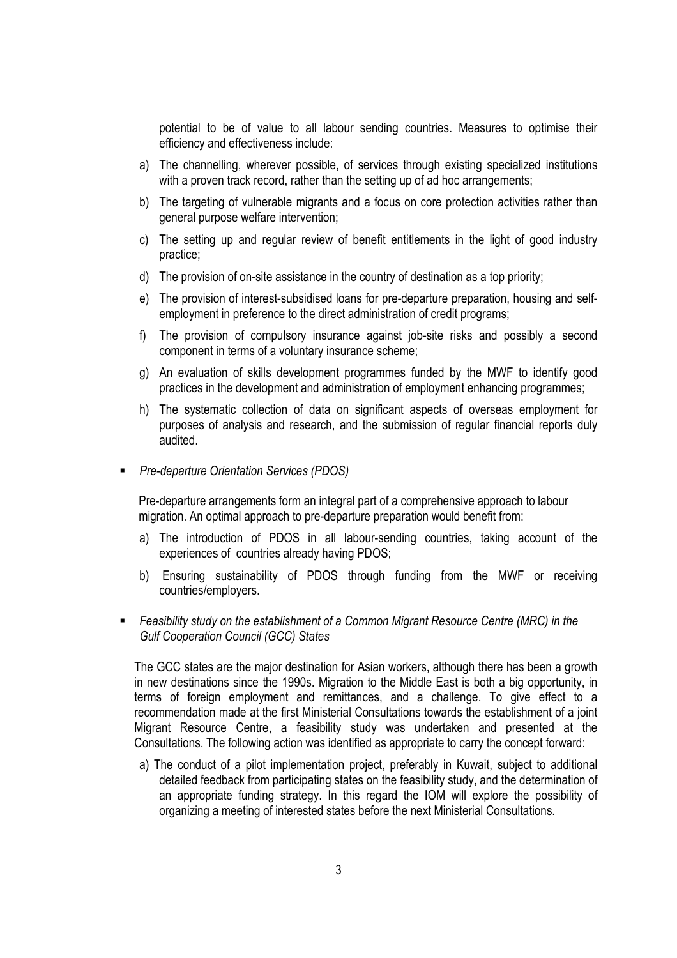potential to be of value to all labour sending countries. Measures to optimise their efficiency and effectiveness include:

- a) The channelling, wherever possible, of services through existing specialized institutions with a proven track record, rather than the setting up of ad hoc arrangements;
- b) The targeting of vulnerable migrants and a focus on core protection activities rather than general purpose welfare intervention;
- c) The setting up and regular review of benefit entitlements in the light of good industry practice;
- d) The provision of on-site assistance in the country of destination as a top priority;
- e) The provision of interest-subsidised loans for pre-departure preparation, housing and selfemployment in preference to the direct administration of credit programs;
- f) The provision of compulsory insurance against job-site risks and possibly a second component in terms of a voluntary insurance scheme;
- g) An evaluation of skills development programmes funded by the MWF to identify good practices in the development and administration of employment enhancing programmes;
- h) The systematic collection of data on significant aspects of overseas employment for purposes of analysis and research, and the submission of regular financial reports duly audited.
- *Pre-departure Orientation Services (PDOS)*

Pre-departure arrangements form an integral part of a comprehensive approach to labour migration. An optimal approach to pre-departure preparation would benefit from:

- a) The introduction of PDOS in all labour-sending countries, taking account of the experiences of countries already having PDOS;
- b) Ensuring sustainability of PDOS through funding from the MWF or receiving countries/employers.
- *Feasibility study on the establishment of a Common Migrant Resource Centre (MRC) in the Gulf Cooperation Council (GCC) States*

The GCC states are the major destination for Asian workers, although there has been a growth in new destinations since the 1990s. Migration to the Middle East is both a big opportunity, in terms of foreign employment and remittances, and a challenge. To give effect to a recommendation made at the first Ministerial Consultations towards the establishment of a joint Migrant Resource Centre, a feasibility study was undertaken and presented at the Consultations. The following action was identified as appropriate to carry the concept forward:

a) The conduct of a pilot implementation project, preferably in Kuwait, subject to additional detailed feedback from participating states on the feasibility study, and the determination of an appropriate funding strategy. In this regard the IOM will explore the possibility of organizing a meeting of interested states before the next Ministerial Consultations.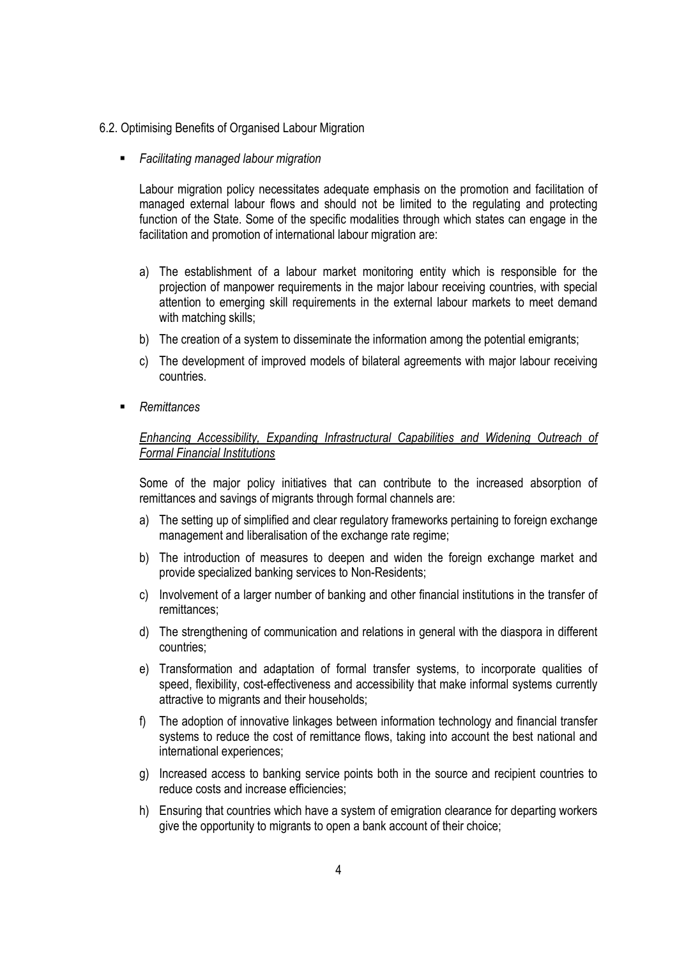- 6.2. Optimising Benefits of Organised Labour Migration
	- *Facilitating managed labour migration*

Labour migration policy necessitates adequate emphasis on the promotion and facilitation of managed external labour flows and should not be limited to the regulating and protecting function of the State. Some of the specific modalities through which states can engage in the facilitation and promotion of international labour migration are:

- a) The establishment of a labour market monitoring entity which is responsible for the projection of manpower requirements in the major labour receiving countries, with special attention to emerging skill requirements in the external labour markets to meet demand with matching skills;
- b) The creation of a system to disseminate the information among the potential emigrants;
- c) The development of improved models of bilateral agreements with major labour receiving countries.
- *Remittances*

### *Enhancing Accessibility, Expanding Infrastructural Capabilities and Widening Outreach of Formal Financial Institutions*

Some of the major policy initiatives that can contribute to the increased absorption of remittances and savings of migrants through formal channels are:

- a) The setting up of simplified and clear regulatory frameworks pertaining to foreign exchange management and liberalisation of the exchange rate regime;
- b) The introduction of measures to deepen and widen the foreign exchange market and provide specialized banking services to Non-Residents;
- c) Involvement of a larger number of banking and other financial institutions in the transfer of remittances;
- d) The strengthening of communication and relations in general with the diaspora in different countries;
- e) Transformation and adaptation of formal transfer systems, to incorporate qualities of speed, flexibility, cost-effectiveness and accessibility that make informal systems currently attractive to migrants and their households;
- f) The adoption of innovative linkages between information technology and financial transfer systems to reduce the cost of remittance flows, taking into account the best national and international experiences;
- g) Increased access to banking service points both in the source and recipient countries to reduce costs and increase efficiencies;
- h) Ensuring that countries which have a system of emigration clearance for departing workers give the opportunity to migrants to open a bank account of their choice;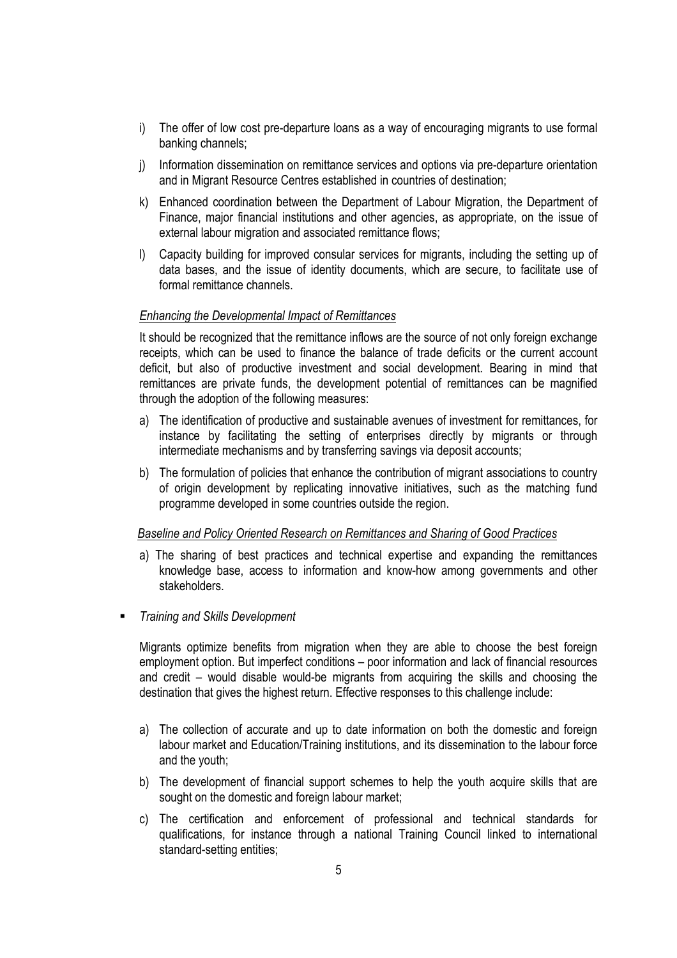- i) The offer of low cost pre-departure loans as a way of encouraging migrants to use formal banking channels;
- j) Information dissemination on remittance services and options via pre-departure orientation and in Migrant Resource Centres established in countries of destination;
- k) Enhanced coordination between the Department of Labour Migration, the Department of Finance, major financial institutions and other agencies, as appropriate, on the issue of external labour migration and associated remittance flows;
- l) Capacity building for improved consular services for migrants, including the setting up of data bases, and the issue of identity documents, which are secure, to facilitate use of formal remittance channels.

### *Enhancing the Developmental Impact of Remittances*

It should be recognized that the remittance inflows are the source of not only foreign exchange receipts, which can be used to finance the balance of trade deficits or the current account deficit, but also of productive investment and social development. Bearing in mind that remittances are private funds, the development potential of remittances can be magnified through the adoption of the following measures:

- a) The identification of productive and sustainable avenues of investment for remittances, for instance by facilitating the setting of enterprises directly by migrants or through intermediate mechanisms and by transferring savings via deposit accounts;
- b) The formulation of policies that enhance the contribution of migrant associations to country of origin development by replicating innovative initiatives, such as the matching fund programme developed in some countries outside the region.

### *Baseline and Policy Oriented Research on Remittances and Sharing of Good Practices*

- a) The sharing of best practices and technical expertise and expanding the remittances knowledge base, access to information and know-how among governments and other stakeholders.
- *Training and Skills Development*

Migrants optimize benefits from migration when they are able to choose the best foreign employment option. But imperfect conditions – poor information and lack of financial resources and credit – would disable would-be migrants from acquiring the skills and choosing the destination that gives the highest return. Effective responses to this challenge include:

- a) The collection of accurate and up to date information on both the domestic and foreign labour market and Education/Training institutions, and its dissemination to the labour force and the youth;
- b) The development of financial support schemes to help the youth acquire skills that are sought on the domestic and foreign labour market;
- c) The certification and enforcement of professional and technical standards for qualifications, for instance through a national Training Council linked to international standard-setting entities;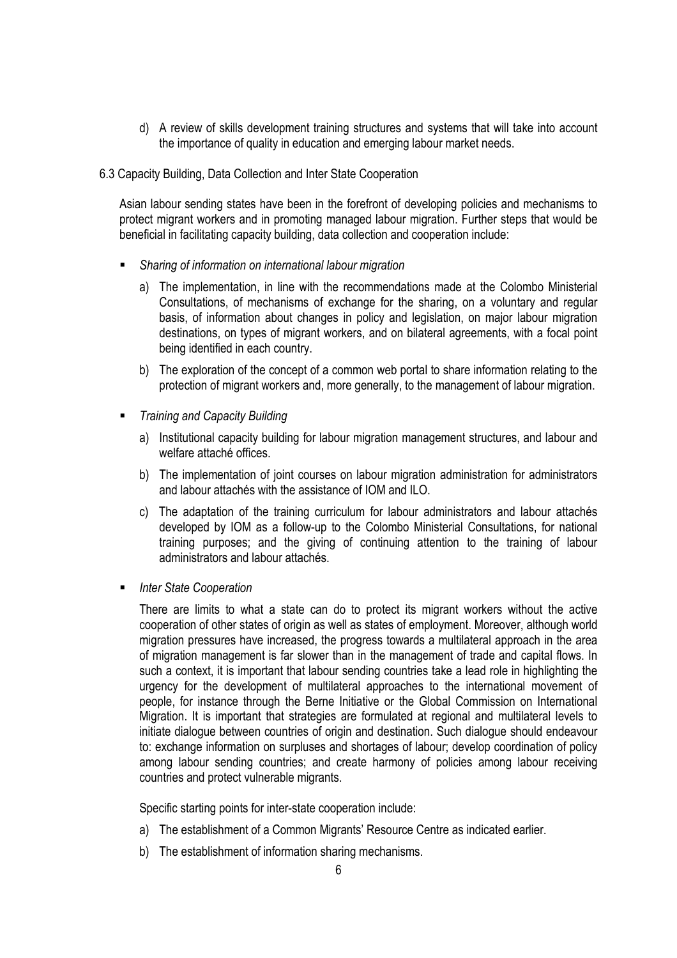- d) A review of skills development training structures and systems that will take into account the importance of quality in education and emerging labour market needs.
- 6.3 Capacity Building, Data Collection and Inter State Cooperation

Asian labour sending states have been in the forefront of developing policies and mechanisms to protect migrant workers and in promoting managed labour migration. Further steps that would be beneficial in facilitating capacity building, data collection and cooperation include:

- *Sharing of information on international labour migration* 
	- a) The implementation, in line with the recommendations made at the Colombo Ministerial Consultations, of mechanisms of exchange for the sharing, on a voluntary and regular basis, of information about changes in policy and legislation, on major labour migration destinations, on types of migrant workers, and on bilateral agreements, with a focal point being identified in each country.
	- b) The exploration of the concept of a common web portal to share information relating to the protection of migrant workers and, more generally, to the management of labour migration.
- *Training and Capacity Building* 
	- a) Institutional capacity building for labour migration management structures, and labour and welfare attaché offices.
	- b) The implementation of joint courses on labour migration administration for administrators and labour attachés with the assistance of IOM and ILO.
	- c) The adaptation of the training curriculum for labour administrators and labour attachés developed by IOM as a follow-up to the Colombo Ministerial Consultations, for national training purposes; and the giving of continuing attention to the training of labour administrators and labour attachés.
- *Inter State Cooperation*

There are limits to what a state can do to protect its migrant workers without the active cooperation of other states of origin as well as states of employment. Moreover, although world migration pressures have increased, the progress towards a multilateral approach in the area of migration management is far slower than in the management of trade and capital flows. In such a context, it is important that labour sending countries take a lead role in highlighting the urgency for the development of multilateral approaches to the international movement of people, for instance through the Berne Initiative or the Global Commission on International Migration. It is important that strategies are formulated at regional and multilateral levels to initiate dialogue between countries of origin and destination. Such dialogue should endeavour to: exchange information on surpluses and shortages of labour; develop coordination of policy among labour sending countries; and create harmony of policies among labour receiving countries and protect vulnerable migrants.

Specific starting points for inter-state cooperation include:

- a) The establishment of a Common Migrants' Resource Centre as indicated earlier.
- b) The establishment of information sharing mechanisms.